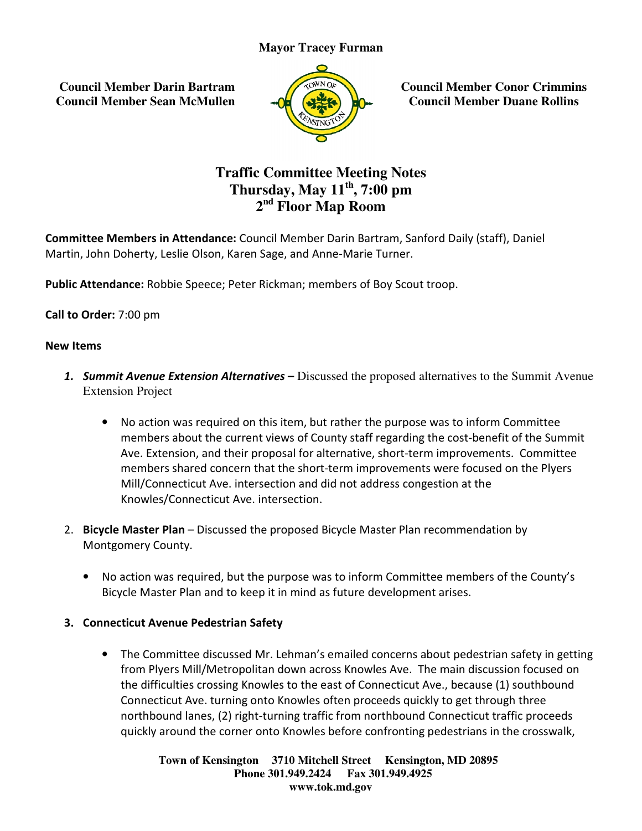**Council Member Darin Bartram Council Member Sean McMullen**



**Council Member Conor Crimmins Council Member Duane Rollins**

# **Traffic Committee Meeting Notes Thursday, May 11 th, 7:00 pm 2 nd Floor Map Room**

**Committee Members in Attendance:** Council Member Darin Bartram, Sanford Daily (staff), Daniel<br>Martin, John Doherty, Leslie Olson, Karen Sage, and Anne-Marie Turner. Martin, John Doherty, Leslie Olson, Karen Sage, and Anne-Marie Turner.

Public Attendance: Robbie Speece; Peter Rickman; members of Boy Scout troop.

Call to Order: 7:00 pm

#### New Items

- 1. Summit Avenue Extension Alternatives Discussed the proposed alternatives to the Summit Avenue Extension Project
- No action was required on this item, but rather the purpose was to inform Committee members about the current views of County staff regarding the cost-benefit of the Summit Ave. Extension, and their proposal for alternative, short-term improvements. Committee members shared concern that the short-term improvements were focused on the Plyers Mill/Connecticut Ave. intersection and did not address congestion at the Knowles/Connecticut Ave. intersection. **CONTROLLATE SET AND AN AN ALLATE CONDUCT CONDUCT CONDUCT CONDUCT CONDUCT CONDUCT CONDUCT CONDUCT CONDUCT CONDUCT CONDUCT CONDUCT CONDUCT CONDUCT CONDUCT CONDUCT CONDUCT CONDUCT CONDUCT CONDUCT CONDUCT CONDUCT CONDUCT COND** Form benefits the council Member Conor Crimmins<br> **Connective Conorm** Connective Consumer Rollins<br> **Connective Map Room**<br> **Connective Map Room**<br> **Connective Parin Bartram, Sanford Daily (staff), Daniel**<br> **Connective Map Roo**
- 2. **Bicycle Master Plan** Discussed the proposed Bicycle Master Plan recommendation by<br>
Montgomery County.<br>
 No action was required, but the purpose was to inform Committee members of the<br>
Bicycle Master Plan and to kee Montgomery County.
	- No action was required, but the purpose was to inform Committee members of the County's Bicycle Master Plan and to keep it in mind as future development arises.

#### 3. Connecticut Avenue Pedestrian Safety Connecticut Avenue

• The Committee discussed Mr. Lehman's emailed concerns about pedestrian safety in getting from Plyers Mill/Metropolitan down across Knowles Ave. The main discussion focused on the difficulties crossing Knowles to the east of Connecticut Ave., because (1) southbound Connecticut Ave. turning onto Knowles often proceeds quickly to get through three northbound lanes, (2) right-turning traffic from northbound Connecticut traffic proceeds quickly around the corner onto Knowles before confronting pedestrians in the crosswalk,

> **Town of Kensington Kensington 3710 Mitchell Street Kensington, MD 20895 Phone 301.949.2424 301.949.2424 Fax 301.949.4925 www.tok.md.gov**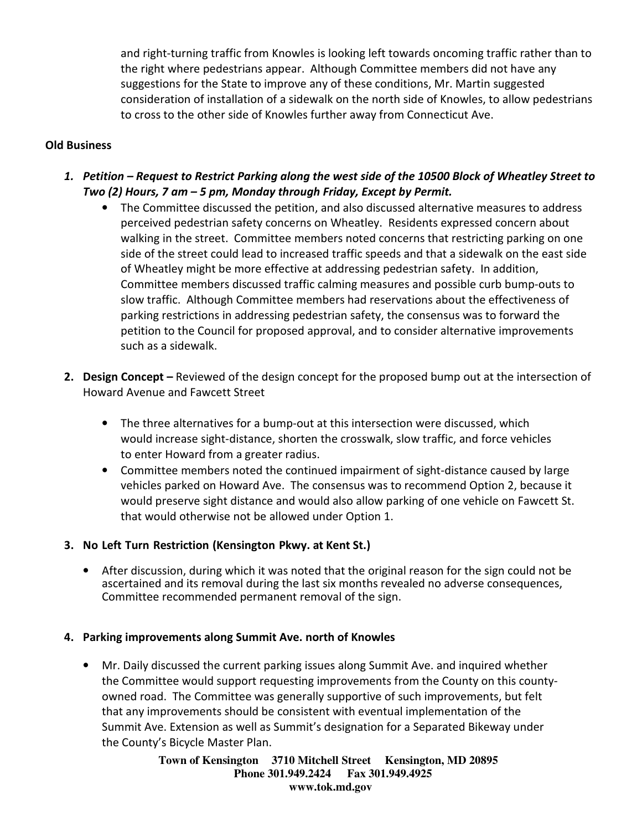and right-turning traffic from Knowles is looking left towards oncoming traffic rather than to the right where pedestrians appear. Although Committee members did not have any suggestions for the State to improve any of these conditions, Mr. Martin suggested consideration of installation of a sidewalk on the north side of Knowles, to allow pedestrians to cross to the other side of Knowles further away from Connecticut Ave.

### Old Business

- 1. Petition Request to Restrict Parking along the west side of the 10500 Block of Wheatley Street to Two (2) Hours, 7 am – 5 pm, Monday through Friday, Except by Permit.
	- The Committee discussed the petition, and also discussed alternative measures to address perceived pedestrian safety concerns on Wheatley. Residents expressed concern about walking in the street. Committee members noted concerns that restricting parking on one side of the street could lead to increased traffic speeds and that a sidewalk on the east side of Wheatley might be more effective at addressing pedestrian safety. In addition, Committee members discussed traffic calming measures and possible curb bump-outs to slow traffic. Although Committee members had reservations about the effectiveness of parking restrictions in addressing pedestrian safety, the consensus was to forward the petition to the Council for proposed approval, and to consider alternative improvements such as a sidewalk.
- 2. Design Concept Reviewed of the design concept for the proposed bump out at the intersection of Howard Avenue and Fawcett Street
	- The three alternatives for a bump-out at this intersection were discussed, which would increase sight-distance, shorten the crosswalk, slow traffic, and force vehicles to enter Howard from a greater radius.
	- Committee members noted the continued impairment of sight-distance caused by large vehicles parked on Howard Ave. The consensus was to recommend Option 2, because it would preserve sight distance and would also allow parking of one vehicle on Fawcett St. that would otherwise not be allowed under Option 1.

#### 3. No Left Turn Restriction (Kensington Pkwy. at Kent St.)

• After discussion, during which it was noted that the original reason for the sign could not be ascertained and its removal during the last six months revealed no adverse consequences, Committee recommended permanent removal of the sign.

## 4. Parking improvements along Summit Ave. north of Knowles

• Mr. Daily discussed the current parking issues along Summit Ave. and inquired whether the Committee would support requesting improvements from the County on this countyowned road. The Committee was generally supportive of such improvements, but felt that any improvements should be consistent with eventual implementation of the Summit Ave. Extension as well as Summit's designation for a Separated Bikeway under the County's Bicycle Master Plan.

> **Town of Kensington 3710 Mitchell Street Kensington, MD 20895 Phone 301.949.2424 Fax 301.949.4925 www.tok.md.gov**